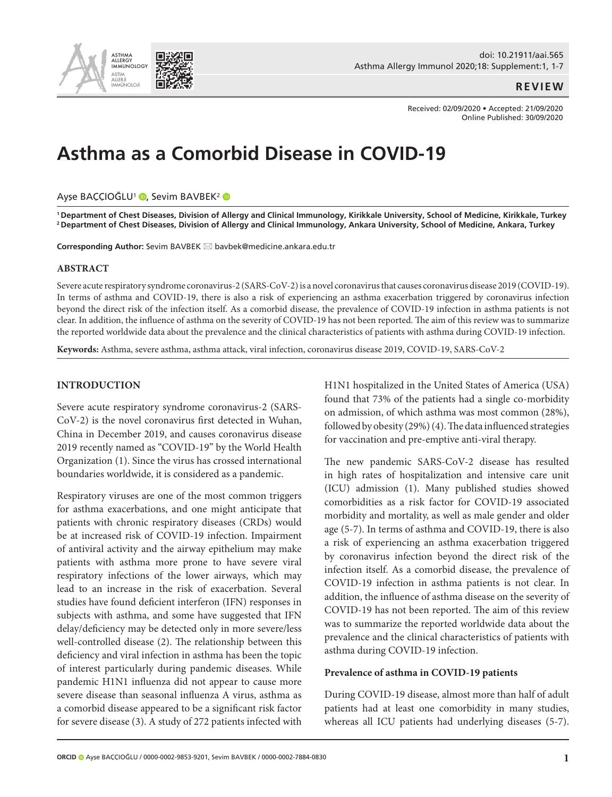

## **REVIEW**

Received: 02/09/2020 • Accepted: 21/09/2020 Online Published: 30/09/2020

# **Asthma as a Comorbid Disease in COVID-19**

#### Ayşe BAÇÇIOĞLU<sup>1</sup> (D[,](http://orcid.org/0000-0002-9853-9201) Sevim BAVBEK<sup>2</sup> (D

**1 Department of Chest Diseases, Division of Allergy and Clinical Immunology, Kirikkale University, School of Medicine, Kirikkale, Turkey 2 Department of Chest Diseases, Division of Allergy and Clinical Immunology, Ankara University, School of Medicine, Ankara, Turkey**

**Corresponding Author:** Sevim BAVBEK ⊠ bavbek@medicine.ankara.edu.tr

#### **ABSTRACT**

Severe acute respiratory syndrome coronavirus-2 (SARS-CoV-2) is a novel coronavirus that causes coronavirus disease 2019 (COVID-19). In terms of asthma and COVID-19, there is also a risk of experiencing an asthma exacerbation triggered by coronavirus infection beyond the direct risk of the infection itself. As a comorbid disease, the prevalence of COVID-19 infection in asthma patients is not clear. In addition, the influence of asthma on the severity of COVID-19 has not been reported. The aim of this review was to summarize the reported worldwide data about the prevalence and the clinical characteristics of patients with asthma during COVID-19 infection.

**Keywords:** Asthma, severe asthma, asthma attack, viral infection, coronavirus disease 2019, COVID-19, SARS-CoV-2

#### **INTRODUCTION**

Severe acute respiratory syndrome coronavirus-2 (SARS-CoV-2) is the novel coronavirus first detected in Wuhan, China in December 2019, and causes coronavirus disease 2019 recently named as "COVID-19" by the World Health Organization (1). Since the virus has crossed international boundaries worldwide, it is considered as a pandemic.

Respiratory viruses are one of the most common triggers for asthma exacerbations, and one might anticipate that patients with chronic respiratory diseases (CRDs) would be at increased risk of COVID-19 infection. Impairment of antiviral activity and the airway epithelium may make patients with asthma more prone to have severe viral respiratory infections of the lower airways, which may lead to an increase in the risk of exacerbation. Several studies have found deficient interferon (IFN) responses in subjects with asthma, and some have suggested that IFN delay/deficiency may be detected only in more severe/less well-controlled disease (2). The relationship between this deficiency and viral infection in asthma has been the topic of interest particularly during pandemic diseases. While pandemic H1N1 influenza did not appear to cause more severe disease than seasonal influenza A virus, asthma as a comorbid disease appeared to be a significant risk factor for severe disease (3). A study of 272 patients infected with H1N1 hospitalized in the United States of America (USA) found that 73% of the patients had a single co-morbidity on admission, of which asthma was most common (28%), followed by obesity (29%) (4). The data influenced strategies for vaccination and pre-emptive anti-viral therapy.

The new pandemic SARS-CoV-2 disease has resulted in high rates of hospitalization and intensive care unit (ICU) admission (1). Many published studies showed comorbidities as a risk factor for COVID-19 associated morbidity and mortality, as well as male gender and older age (5-7). In terms of asthma and COVID-19, there is also a risk of experiencing an asthma exacerbation triggered by coronavirus infection beyond the direct risk of the infection itself. As a comorbid disease, the prevalence of COVID-19 infection in asthma patients is not clear. In addition, the influence of asthma disease on the severity of COVID-19 has not been reported. The aim of this review was to summarize the reported worldwide data about the prevalence and the clinical characteristics of patients with asthma during COVID-19 infection.

## **Prevalence of asthma in COVID-19 patients**

During COVID-19 disease, almost more than half of adult patients had at least one comorbidity in many studies, whereas all ICU patients had underlying diseases (5-7).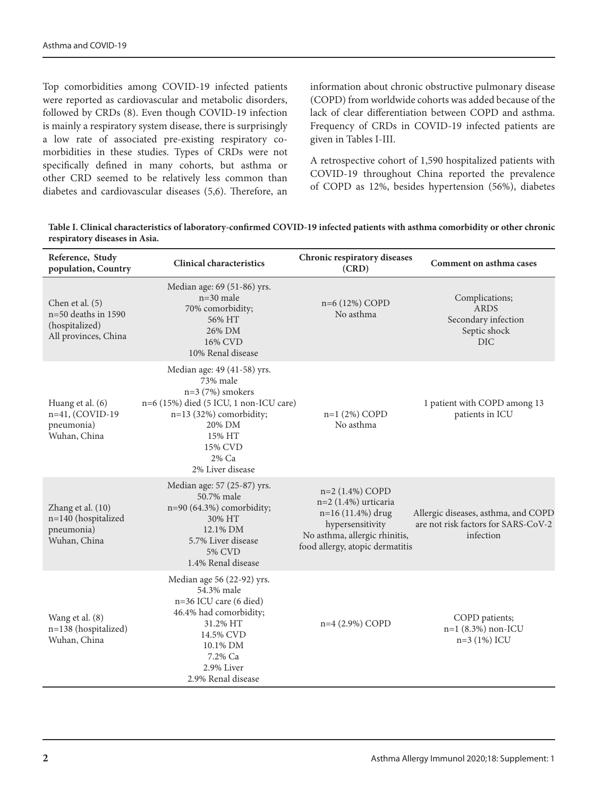Top comorbidities among COVID-19 infected patients were reported as cardiovascular and metabolic disorders, followed by CRDs (8). Even though COVID-19 infection is mainly a respiratory system disease, there is surprisingly a low rate of associated pre-existing respiratory comorbidities in these studies. Types of CRDs were not specifically defined in many cohorts, but asthma or other CRD seemed to be relatively less common than diabetes and cardiovascular diseases (5,6). Therefore, an information about chronic obstructive pulmonary disease (COPD) from worldwide cohorts was added because of the lack of clear differentiation between COPD and asthma. Frequency of CRDs in COVID-19 infected patients are given in Tables I-III.

A retrospective cohort of 1,590 hospitalized patients with COVID-19 throughout China reported the prevalence of COPD as 12%, besides hypertension (56%), diabetes

**Table I. Clinical characteristics of laboratory-confirmed COVID-19 infected patients with asthma comorbidity or other chronic respiratory diseases in Asia.** 

| Reference, Study<br>population, Country                                              | <b>Clinical characteristics</b>                                                                                                                                                                | Chronic respiratory diseases<br>(CRD)                                                                                                                | Comment on asthma cases                                                                 |
|--------------------------------------------------------------------------------------|------------------------------------------------------------------------------------------------------------------------------------------------------------------------------------------------|------------------------------------------------------------------------------------------------------------------------------------------------------|-----------------------------------------------------------------------------------------|
| Chen et al. $(5)$<br>$n=50$ deaths in 1590<br>(hospitalized)<br>All provinces, China | Median age: 69 (51-86) yrs.<br>$n=30$ male<br>70% comorbidity;<br>56% HT<br>26% DM<br>16% CVD<br>10% Renal disease                                                                             | n=6 (12%) COPD<br>No asthma                                                                                                                          | Complications;<br><b>ARDS</b><br>Secondary infection<br>Septic shock<br><b>DIC</b>      |
| Huang et al. (6)<br>n=41, (COVID-19<br>pneumonia)<br>Wuhan, China                    | Median age: 49 (41-58) yrs.<br>73% male<br>$n=3$ (7%) smokers<br>n=6 (15%) died (5 ICU, 1 non-ICU care)<br>n=13 (32%) comorbidity;<br>20% DM<br>15% HT<br>15% CVD<br>2% Ca<br>2% Liver disease | $n=1$ (2%) COPD<br>No asthma                                                                                                                         | 1 patient with COPD among 13<br>patients in ICU                                         |
| Zhang et al. (10)<br>n=140 (hospitalized<br>pneumonia)<br>Wuhan, China               | Median age: 57 (25-87) yrs.<br>50.7% male<br>n=90 (64.3%) comorbidity;<br>30% HT<br>12.1% DM<br>5.7% Liver disease<br><b>5% CVD</b><br>1.4% Renal disease                                      | n=2 (1.4%) COPD<br>n=2 (1.4%) urticaria<br>n=16 (11.4%) drug<br>hypersensitivity<br>No asthma, allergic rhinitis,<br>food allergy, atopic dermatitis | Allergic diseases, asthma, and COPD<br>are not risk factors for SARS-CoV-2<br>infection |
| Wang et al. (8)<br>n=138 (hospitalized)<br>Wuhan, China                              | Median age 56 (22-92) yrs.<br>54.3% male<br>$n=36$ ICU care (6 died)<br>46.4% had comorbidity;<br>31.2% HT<br>14.5% CVD<br>10.1% DM<br>7.2% Ca<br>2.9% Liver<br>2.9% Renal disease             | n=4 (2.9%) COPD                                                                                                                                      | COPD patients;<br>$n=1$ (8.3%) non-ICU<br>$n=3$ (1%) ICU                                |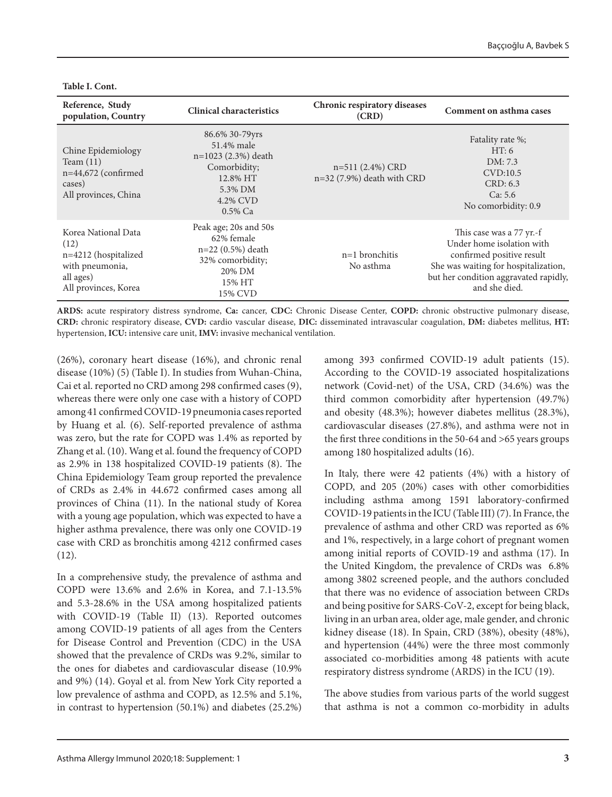| Reference, Study<br>population, Country                                                                     | <b>Clinical characteristics</b>                                                                                   | Chronic respiratory diseases<br>(CRD)           | Comment on asthma cases                                                                                                                                                              |
|-------------------------------------------------------------------------------------------------------------|-------------------------------------------------------------------------------------------------------------------|-------------------------------------------------|--------------------------------------------------------------------------------------------------------------------------------------------------------------------------------------|
| Chine Epidemiology<br>Team $(11)$<br>$n=44,672$ (confirmed<br>cases)<br>All provinces, China                | 86.6% 30-79yrs<br>51.4% male<br>n=1023 (2.3%) death<br>Comorbidity;<br>12.8% HT<br>5.3% DM<br>4.2% CVD<br>0.5% Ca | $n=511(2.4%)$ CRD<br>n=32 (7.9%) death with CRD | Fatality rate %;<br>HT:6<br>DM: 7.3<br>CVD:10.5<br>CRD: 6.3<br>Ca: 5.6<br>No comorbidity: 0.9                                                                                        |
| Korea National Data<br>(12)<br>n=4212 (hospitalized<br>with pneumonia,<br>all ages)<br>All provinces, Korea | Peak age; 20s and 50s<br>62% female<br>n=22 (0.5%) death<br>32% comorbidity;<br>20% DM<br>15% HT<br>15% CVD       | $n=1$ bronchitis<br>No asthma                   | This case was a 77 yr.-f<br>Under home isolation with<br>confirmed positive result<br>She was waiting for hospitalization,<br>but her condition aggravated rapidly,<br>and she died. |

**Table I. Cont.**

**ARDS:** acute respiratory distress syndrome, **Ca:** cancer, **CDC:** Chronic Disease Center, **COPD:** chronic obstructive pulmonary disease, **CRD:** chronic respiratory disease, **CVD:** cardio vascular disease, **DIC:** disseminated intravascular coagulation, **DM:** diabetes mellitus, **HT:**  hypertension, **ICU:** intensive care unit, **IMV:** invasive mechanical ventilation.

(26%), coronary heart disease (16%), and chronic renal disease (10%) (5) (Table I). In studies from Wuhan-China, Cai et al. reported no CRD among 298 confirmed cases (9), whereas there were only one case with a history of COPD among 41 confirmed COVID-19 pneumonia cases reported by Huang et al. (6). Self-reported prevalence of asthma was zero, but the rate for COPD was 1.4% as reported by Zhang et al. (10). Wang et al. found the frequency of COPD as 2.9% in 138 hospitalized COVID-19 patients (8). The China Epidemiology Team group reported the prevalence of CRDs as 2.4% in 44.672 confirmed cases among all provinces of China (11). In the national study of Korea with a young age population, which was expected to have a higher asthma prevalence, there was only one COVID-19 case with CRD as bronchitis among 4212 confirmed cases (12).

In a comprehensive study, the prevalence of asthma and COPD were 13.6% and 2.6% in Korea, and 7.1-13.5% and 5.3-28.6% in the USA among hospitalized patients with COVID-19 (Table II) (13). Reported outcomes among COVID-19 patients of all ages from the Centers for Disease Control and Prevention (CDC) in the USA showed that the prevalence of CRDs was 9.2%, similar to the ones for diabetes and cardiovascular disease (10.9% and 9%) (14). Goyal et al. from New York City reported a low prevalence of asthma and COPD, as 12.5% and 5.1%, in contrast to hypertension (50.1%) and diabetes (25.2%)

among 393 confirmed COVID-19 adult patients (15). According to the COVID-19 associated hospitalizations network (Covid-net) of the USA, CRD (34.6%) was the third common comorbidity after hypertension (49.7%) and obesity (48.3%); however diabetes mellitus (28.3%), cardiovascular diseases (27.8%), and asthma were not in the first three conditions in the 50-64 and >65 years groups among 180 hospitalized adults (16).

In Italy, there were 42 patients (4%) with a history of COPD, and 205 (20%) cases with other comorbidities including asthma among 1591 laboratory-confirmed COVID-19 patients in the ICU (Table III) (7). In France, the prevalence of asthma and other CRD was reported as 6% and 1%, respectively, in a large cohort of pregnant women among initial reports of COVID-19 and asthma (17). In the United Kingdom, the prevalence of CRDs was 6.8% among 3802 screened people, and the authors concluded that there was no evidence of association between CRDs and being positive for SARS-CoV-2, except for being black, living in an urban area, older age, male gender, and chronic kidney disease (18). In Spain, CRD (38%), obesity (48%), and hypertension (44%) were the three most commonly associated co-morbidities among 48 patients with acute respiratory distress syndrome (ARDS) in the ICU (19).

The above studies from various parts of the world suggest that asthma is not a common co-morbidity in adults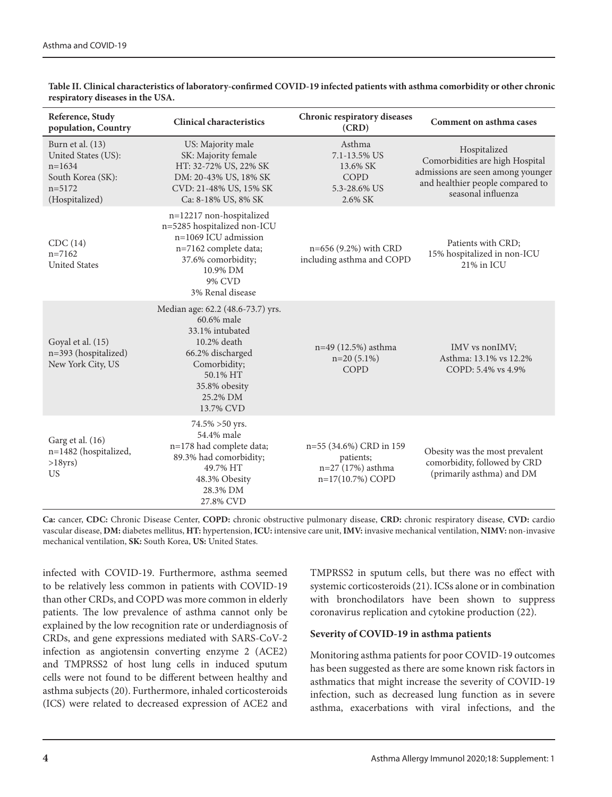| Reference, Study<br>population, Country                                                                  | <b>Clinical characteristics</b>                                                                                                                                             | Chronic respiratory diseases<br>(CRD)                                         | Comment on asthma cases                                                                                                                        |
|----------------------------------------------------------------------------------------------------------|-----------------------------------------------------------------------------------------------------------------------------------------------------------------------------|-------------------------------------------------------------------------------|------------------------------------------------------------------------------------------------------------------------------------------------|
| Burn et al. (13)<br>United States (US):<br>$n=1634$<br>South Korea (SK):<br>$n = 5172$<br>(Hospitalized) | US: Majority male<br>SK: Majority female<br>HT: 32-72% US, 22% SK<br>DM: 20-43% US, 18% SK<br>CVD: 21-48% US, 15% SK<br>Ca: 8-18% US, 8% SK                                 | Asthma<br>7.1-13.5% US<br>13.6% SK<br>COPD<br>5.3-28.6% US<br>2.6% SK         | Hospitalized<br>Comorbidities are high Hospital<br>admissions are seen among younger<br>and healthier people compared to<br>seasonal influenza |
| CDC(14)<br>$n = 7162$<br><b>United States</b>                                                            | n=12217 non-hospitalized<br>n=5285 hospitalized non-ICU<br>$n=1069$ ICU admission<br>n=7162 complete data;<br>37.6% comorbidity;<br>10.9% DM<br>9% CVD<br>3% Renal disease  | n=656 (9.2%) with CRD<br>including asthma and COPD                            | Patients with CRD;<br>15% hospitalized in non-ICU<br>21% in ICU                                                                                |
| Goyal et al. (15)<br>n=393 (hospitalized)<br>New York City, US                                           | Median age: 62.2 (48.6-73.7) yrs.<br>60.6% male<br>33.1% intubated<br>10.2% death<br>66.2% discharged<br>Comorbidity;<br>50.1% HT<br>35.8% obesity<br>25.2% DM<br>13.7% CVD | n=49 (12.5%) asthma<br>$n=20(5.1\%)$<br>COPD                                  | IMV vs nonIMV;<br>Asthma: 13.1% vs 12.2%<br>COPD: 5.4% vs 4.9%                                                                                 |
| Garg et al. (16)<br>n=1482 (hospitalized,<br>$>18$ yrs)<br><b>US</b>                                     | 74.5% > 50 yrs.<br>54.4% male<br>n=178 had complete data;<br>89.3% had comorbidity;<br>49.7% HT<br>48.3% Obesity<br>28.3% DM<br>27.8% CVD                                   | n=55 (34.6%) CRD in 159<br>patients;<br>n=27 (17%) asthma<br>n=17(10.7%) COPD | Obesity was the most prevalent<br>comorbidity, followed by CRD<br>(primarily asthma) and DM                                                    |

**Table II. Clinical characteristics of laboratory-confirmed COVID-19 infected patients with asthma comorbidity or other chronic respiratory diseases in the USA.** 

**Ca:** cancer, **CDC:** Chronic Disease Center, **COPD:** chronic obstructive pulmonary disease, **CRD:** chronic respiratory disease, **CVD:** cardio vascular disease, **DM:** diabetes mellitus, **HT:** hypertension, **ICU:** intensive care unit, **IMV:** invasive mechanical ventilation, **NIMV:** non-invasive mechanical ventilation, **SK:** South Korea, **US:** United States.

infected with COVID-19. Furthermore, asthma seemed to be relatively less common in patients with COVID-19 than other CRDs, and COPD was more common in elderly patients. The low prevalence of asthma cannot only be explained by the low recognition rate or underdiagnosis of CRDs, and gene expressions mediated with SARS-CoV-2 infection as angiotensin converting enzyme 2 (ACE2) and TMPRSS2 of host lung cells in induced sputum cells were not found to be different between healthy and asthma subjects (20). Furthermore, inhaled corticosteroids (ICS) were related to decreased expression of ACE2 and TMPRSS2 in sputum cells, but there was no effect with systemic corticosteroids (21). ICSs alone or in combination with bronchodilators have been shown to suppress coronavirus replication and cytokine production (22).

### **Severity of COVID-19 in asthma patients**

Monitoring asthma patients for poor COVID-19 outcomes has been suggested as there are some known risk factors in asthmatics that might increase the severity of COVID-19 infection, such as decreased lung function as in severe asthma, exacerbations with viral infections, and the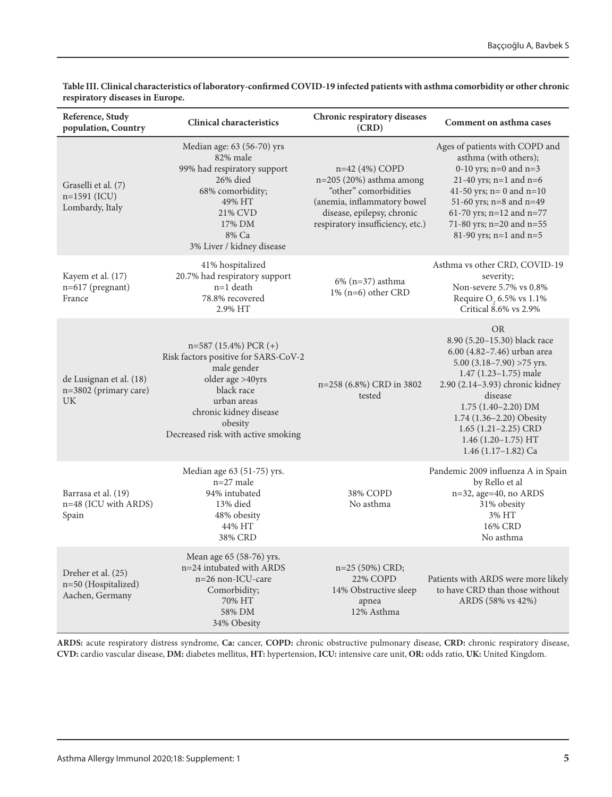| Reference, Study<br>population, Country                       | <b>Clinical characteristics</b>                                                                                                                                                                             | Chronic respiratory diseases<br>(CRD)                                                                                                                                 | Comment on asthma cases                                                                                                                                                                                                                                                                                             |
|---------------------------------------------------------------|-------------------------------------------------------------------------------------------------------------------------------------------------------------------------------------------------------------|-----------------------------------------------------------------------------------------------------------------------------------------------------------------------|---------------------------------------------------------------------------------------------------------------------------------------------------------------------------------------------------------------------------------------------------------------------------------------------------------------------|
| Graselli et al. (7)<br>n=1591 (ICU)<br>Lombardy, Italy        | Median age: 63 (56-70) yrs<br>82% male<br>99% had respiratory support<br>26% died<br>68% comorbidity;<br>49% HT<br>21% CVD<br>17% DM<br>8% Ca<br>3% Liver / kidney disease                                  | n=42 (4%) COPD<br>$n=205(20%)$ asthma among<br>"other" comorbidities<br>(anemia, inflammatory bowel<br>disease, epilepsy, chronic<br>respiratory insufficiency, etc.) | Ages of patients with COPD and<br>asthma (with others);<br>0-10 yrs; $n=0$ and $n=3$<br>21-40 yrs; $n=1$ and $n=6$<br>41-50 yrs; $n=0$ and $n=10$<br>51-60 yrs; n=8 and n=49<br>61-70 yrs; n=12 and n=77<br>71-80 yrs; n=20 and n=55<br>81-90 yrs; n=1 and n=5                                                      |
| Kayem et al. (17)<br>n=617 (pregnant)<br>France               | 41% hospitalized<br>20.7% had respiratory support<br>$n=1$ death<br>78.8% recovered<br>2.9% HT                                                                                                              | $6\%$ (n=37) asthma<br>1% (n=6) other CRD                                                                                                                             | Asthma vs other CRD, COVID-19<br>severity;<br>Non-severe 5.7% vs 0.8%<br>Require $O$ , 6.5% vs 1.1%<br>Critical 8.6% vs 2.9%                                                                                                                                                                                        |
| de Lusignan et al. (18)<br>n=3802 (primary care)<br><b>UK</b> | $n=587(15.4%)$ PCR $(+)$<br>Risk factors positive for SARS-CoV-2<br>male gender<br>older age >40yrs<br>black race<br>urban areas<br>chronic kidney disease<br>obesity<br>Decreased risk with active smoking | n=258 (6.8%) CRD in 3802<br>tested                                                                                                                                    | <b>OR</b><br>8.90 (5.20-15.30) black race<br>6.00 (4.82-7.46) urban area<br>5.00 $(3.18 - 7.90)$ >75 yrs.<br>1.47 (1.23-1.75) male<br>2.90 (2.14-3.93) chronic kidney<br>disease<br>$1.75(1.40-2.20)$ DM<br>1.74 (1.36-2.20) Obesity<br>$1.65$ $(1.21 - 2.25)$ CRD<br>$1.46(1.20-1.75) HT$<br>1.46 $(1.17-1.82)$ Ca |
| Barrasa et al. (19)<br>n=48 (ICU with ARDS)<br>Spain          | Median age 63 (51-75) yrs.<br>$n=27$ male<br>94% intubated<br>13% died<br>48% obesity<br>44% HT<br>38% CRD                                                                                                  | 38% COPD<br>No asthma                                                                                                                                                 | Pandemic 2009 influenza A in Spain<br>by Rello et al<br>n=32, age=40, no ARDS<br>31% obesity<br>3% HT<br>16% CRD<br>No asthma                                                                                                                                                                                       |
| Dreher et al. (25)<br>n=50 (Hospitalized)<br>Aachen, Germany  | Mean age 65 (58-76) yrs.<br>n=24 intubated with ARDS<br>n=26 non-ICU-care<br>Comorbidity;<br>70% HT<br>58% DM<br>34% Obesity                                                                                | n=25 (50%) CRD;<br><b>22% COPD</b><br>14% Obstructive sleep<br>apnea<br>12% Asthma                                                                                    | Patients with ARDS were more likely<br>to have CRD than those without<br>ARDS (58% vs 42%)                                                                                                                                                                                                                          |

**Table III. Clinical characteristics of laboratory-confirmed COVID-19 infected patients with asthma comorbidity or other chronic respiratory diseases in Europe.** 

**ARDS:** acute respiratory distress syndrome, **Ca:** cancer, **COPD:** chronic obstructive pulmonary disease, **CRD:** chronic respiratory disease, **CVD:** cardio vascular disease, **DM:** diabetes mellitus, **HT:** hypertension, **ICU:** intensive care unit, **OR:** odds ratio, **UK:** United Kingdom.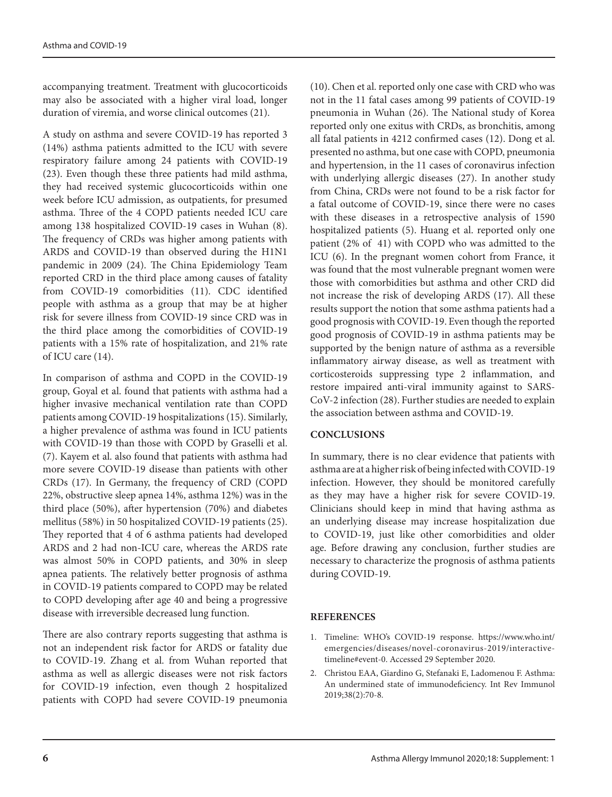accompanying treatment. Treatment with glucocorticoids may also be associated with a higher viral load, longer duration of viremia, and worse clinical outcomes (21).

A study on asthma and severe COVID-19 has reported 3 (14%) asthma patients admitted to the ICU with severe respiratory failure among 24 patients with COVID-19 (23). Even though these three patients had mild asthma, they had received systemic glucocorticoids within one week before ICU admission, as outpatients, for presumed asthma. Three of the 4 COPD patients needed ICU care among 138 hospitalized COVID-19 cases in Wuhan (8). The frequency of CRDs was higher among patients with ARDS and COVID-19 than observed during the H1N1 pandemic in 2009 (24). The China Epidemiology Team reported CRD in the third place among causes of fatality from COVID-19 comorbidities (11). CDC identified people with asthma as a group that may be at higher risk for severe illness from COVID-19 since CRD was in the third place among the comorbidities of COVID-19 patients with a 15% rate of hospitalization, and 21% rate of ICU care (14).

In comparison of asthma and COPD in the COVID-19 group, Goyal et al. found that patients with asthma had a higher invasive mechanical ventilation rate than COPD patients among COVID-19 hospitalizations (15). Similarly, a higher prevalence of asthma was found in ICU patients with COVID-19 than those with COPD by Graselli et al. (7). Kayem et al. also found that patients with asthma had more severe COVID-19 disease than patients with other CRDs (17). In Germany, the frequency of CRD (COPD 22%, obstructive sleep apnea 14%, asthma 12%) was in the third place (50%), after hypertension (70%) and diabetes mellitus (58%) in 50 hospitalized COVID-19 patients (25). They reported that 4 of 6 asthma patients had developed ARDS and 2 had non-ICU care, whereas the ARDS rate was almost 50% in COPD patients, and 30% in sleep apnea patients. The relatively better prognosis of asthma in COVID-19 patients compared to COPD may be related to COPD developing after age 40 and being a progressive disease with irreversible decreased lung function.

There are also contrary reports suggesting that asthma is not an independent risk factor for ARDS or fatality due to COVID-19. Zhang et al. from Wuhan reported that asthma as well as allergic diseases were not risk factors for COVID-19 infection, even though 2 hospitalized patients with COPD had severe COVID-19 pneumonia (10). Chen et al. reported only one case with CRD who was not in the 11 fatal cases among 99 patients of COVID-19 pneumonia in Wuhan (26). The National study of Korea reported only one exitus with CRDs, as bronchitis, among all fatal patients in 4212 confirmed cases (12). Dong et al. presented no asthma, but one case with COPD, pneumonia and hypertension, in the 11 cases of coronavirus infection with underlying allergic diseases (27). In another study from China, CRDs were not found to be a risk factor for a fatal outcome of COVID-19, since there were no cases with these diseases in a retrospective analysis of 1590 hospitalized patients (5). Huang et al. reported only one patient (2% of 41) with COPD who was admitted to the ICU (6). In the pregnant women cohort from France, it was found that the most vulnerable pregnant women were those with comorbidities but asthma and other CRD did not increase the risk of developing ARDS (17). All these results support the notion that some asthma patients had a good prognosis with COVID-19. Even though the reported good prognosis of COVID-19 in asthma patients may be supported by the benign nature of asthma as a reversible inflammatory airway disease, as well as treatment with corticosteroids suppressing type 2 inflammation, and restore impaired anti-viral immunity against to SARS-CoV-2 infection (28). Further studies are needed to explain the association between asthma and COVID-19.

# **CONCLUSIONS**

In summary, there is no clear evidence that patients with asthma are at a higher risk of being infected with COVID-19 infection. However, they should be monitored carefully as they may have a higher risk for severe COVID-19. Clinicians should keep in mind that having asthma as an underlying disease may increase hospitalization due to COVID-19, just like other comorbidities and older age. Before drawing any conclusion, further studies are necessary to characterize the prognosis of asthma patients during COVID-19.

# **REFERENCES**

- 1. Timeline: WHO's COVID-19 response. https://www.who.int/ emergencies/diseases/novel-coronavirus-2019/interactivetimeline#event-0. Accessed 29 September 2020.
- 2. Christou EAA, Giardino G, Stefanaki E, Ladomenou F. Asthma: An undermined state of immunodeficiency. Int Rev Immunol 2019;38(2):70-8.